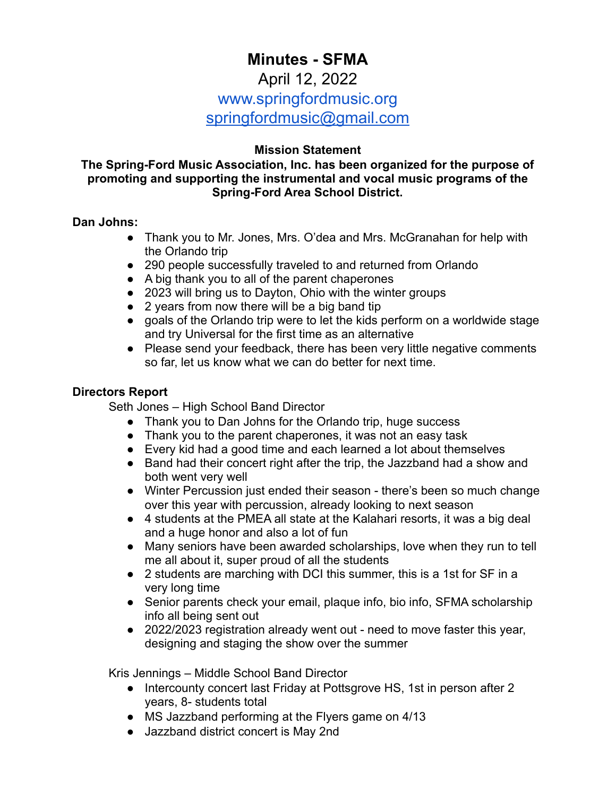# **Minutes - SFMA**

### April 12, 2022

# www.springfordmusic.org

[springfordmusic@gmail.com](mailto:springfordmusic@gmail.com)

### **Mission Statement**

### **The Spring-Ford Music Association, Inc. has been organized for the purpose of promoting and supporting the instrumental and vocal music programs of the Spring-Ford Area School District.**

### **Dan Johns:**

- Thank you to Mr. Jones, Mrs. O'dea and Mrs. McGranahan for help with the Orlando trip
- 290 people successfully traveled to and returned from Orlando
- A big thank you to all of the parent chaperones
- 2023 will bring us to Dayton, Ohio with the winter groups
- 2 years from now there will be a big band tip
- goals of the Orlando trip were to let the kids perform on a worldwide stage and try Universal for the first time as an alternative
- Please send your feedback, there has been very little negative comments so far, let us know what we can do better for next time.

### **Directors Report**

Seth Jones – High School Band Director

- Thank you to Dan Johns for the Orlando trip, huge success
- Thank you to the parent chaperones, it was not an easy task
- Every kid had a good time and each learned a lot about themselves
- Band had their concert right after the trip, the Jazzband had a show and both went very well
- Winter Percussion just ended their season there's been so much change over this year with percussion, already looking to next season
- 4 students at the PMEA all state at the Kalahari resorts, it was a big deal and a huge honor and also a lot of fun
- Many seniors have been awarded scholarships, love when they run to tell me all about it, super proud of all the students
- 2 students are marching with DCI this summer, this is a 1st for SF in a very long time
- Senior parents check your email, plaque info, bio info, SFMA scholarship info all being sent out
- 2022/2023 registration already went out need to move faster this year, designing and staging the show over the summer

Kris Jennings – Middle School Band Director

- Intercounty concert last Friday at Pottsgrove HS, 1st in person after 2 years, 8- students total
- MS Jazzband performing at the Flyers game on 4/13
- Jazzband district concert is May 2nd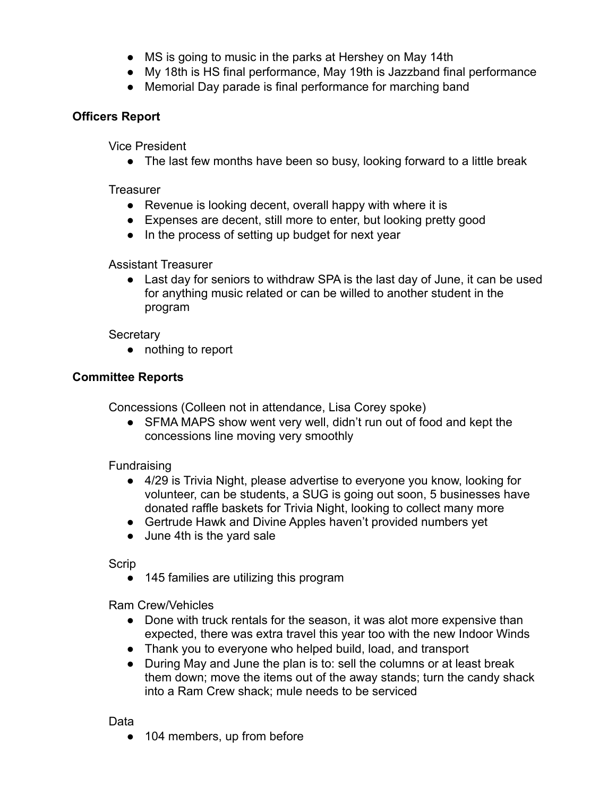- MS is going to music in the parks at Hershey on May 14th
- My 18th is HS final performance, May 19th is Jazzband final performance
- Memorial Day parade is final performance for marching band

## **Officers Report**

Vice President

• The last few months have been so busy, looking forward to a little break

**Treasurer** 

- Revenue is looking decent, overall happy with where it is
- Expenses are decent, still more to enter, but looking pretty good
- In the process of setting up budget for next year

Assistant Treasurer

• Last day for seniors to withdraw SPA is the last day of June, it can be used for anything music related or can be willed to another student in the program

**Secretary** 

● nothing to report

# **Committee Reports**

Concessions (Colleen not in attendance, Lisa Corey spoke)

• SFMA MAPS show went very well, didn't run out of food and kept the concessions line moving very smoothly

Fundraising

- 4/29 is Trivia Night, please advertise to everyone you know, looking for volunteer, can be students, a SUG is going out soon, 5 businesses have donated raffle baskets for Trivia Night, looking to collect many more
- Gertrude Hawk and Divine Apples haven't provided numbers yet
- June 4th is the yard sale

**Scrip** 

● 145 families are utilizing this program

Ram Crew/Vehicles

- Done with truck rentals for the season, it was alot more expensive than expected, there was extra travel this year too with the new Indoor Winds
- Thank you to everyone who helped build, load, and transport
- During May and June the plan is to: sell the columns or at least break them down; move the items out of the away stands; turn the candy shack into a Ram Crew shack; mule needs to be serviced

Data

● 104 members, up from before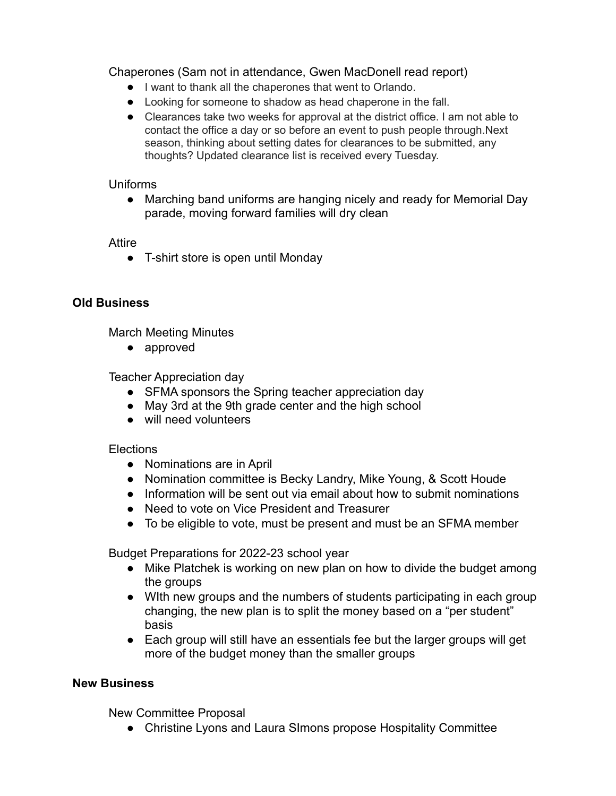Chaperones (Sam not in attendance, Gwen MacDonell read report)

- I want to thank all the chaperones that went to Orlando.
- Looking for someone to shadow as head chaperone in the fall.
- Clearances take two weeks for approval at the district office. I am not able to contact the office a day or so before an event to push people through.Next season, thinking about setting dates for clearances to be submitted, any thoughts? Updated clearance list is received every Tuesday.

### Uniforms

• Marching band uniforms are hanging nicely and ready for Memorial Day parade, moving forward families will dry clean

### Attire

• T-shirt store is open until Monday

### **Old Business**

March Meeting Minutes

● approved

Teacher Appreciation day

- SFMA sponsors the Spring teacher appreciation day
- May 3rd at the 9th grade center and the high school
- will need volunteers

### **Elections**

- Nominations are in April
- Nomination committee is Becky Landry, Mike Young, & Scott Houde
- Information will be sent out via email about how to submit nominations
- Need to vote on Vice President and Treasurer
- To be eligible to vote, must be present and must be an SFMA member

Budget Preparations for 2022-23 school year

- Mike Platchek is working on new plan on how to divide the budget among the groups
- With new groups and the numbers of students participating in each group changing, the new plan is to split the money based on a "per student" basis
- Each group will still have an essentials fee but the larger groups will get more of the budget money than the smaller groups

### **New Business**

New Committee Proposal

● Christine Lyons and Laura SImons propose Hospitality Committee